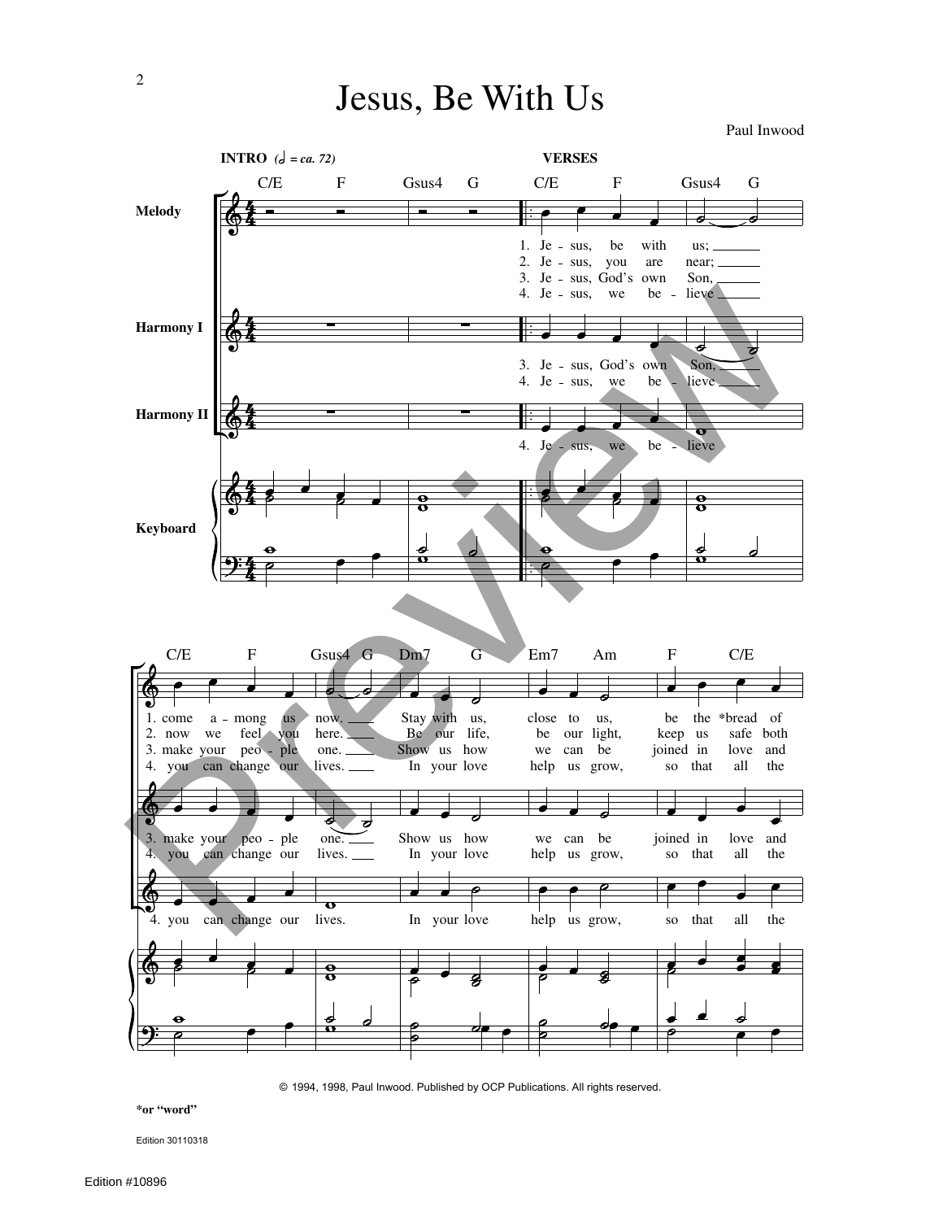## Jesus, Be With Us

Paul Inwood



© 1994, 1998, Paul Inwood. Published by OCP Publications. All rights reserved.

**\*or "word"**

Edition 30110318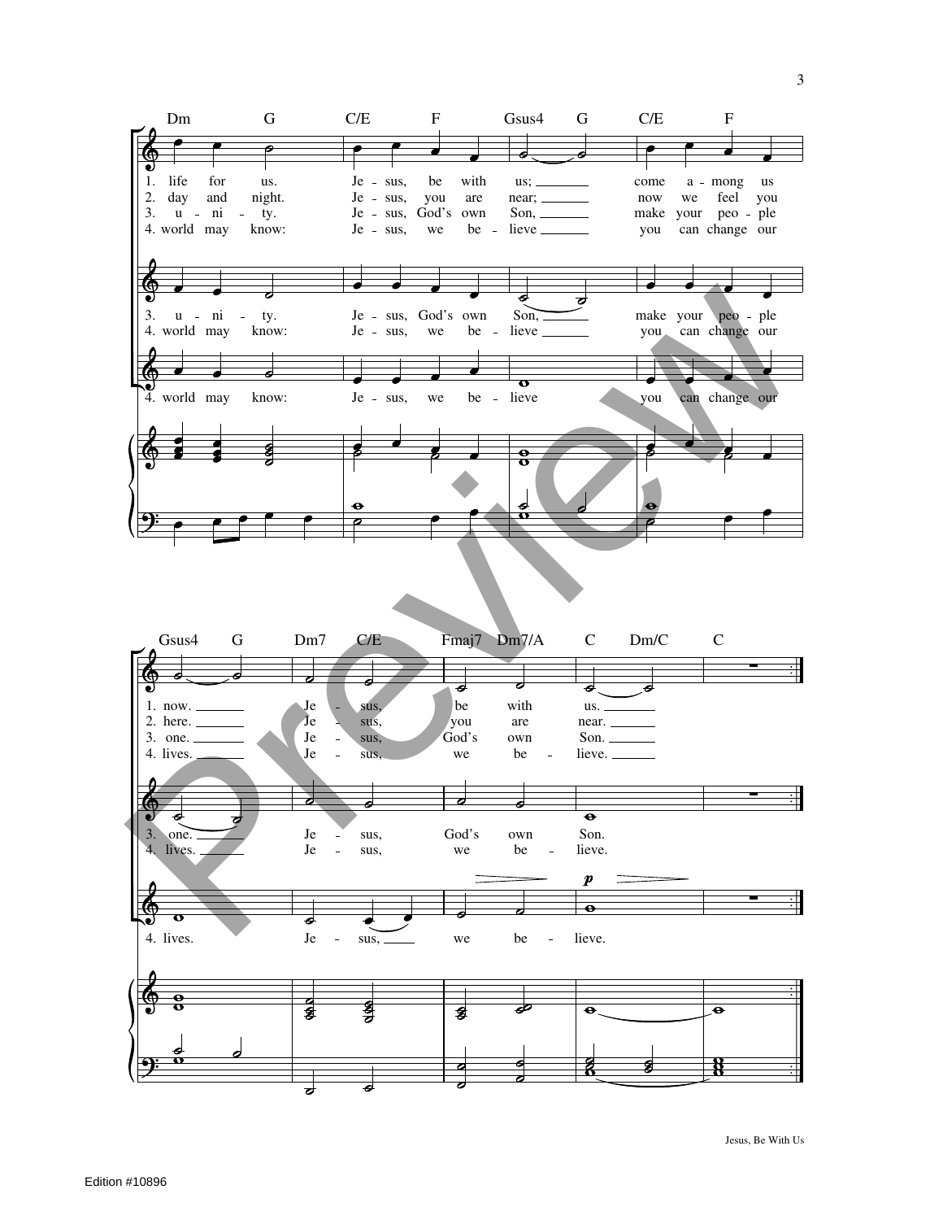